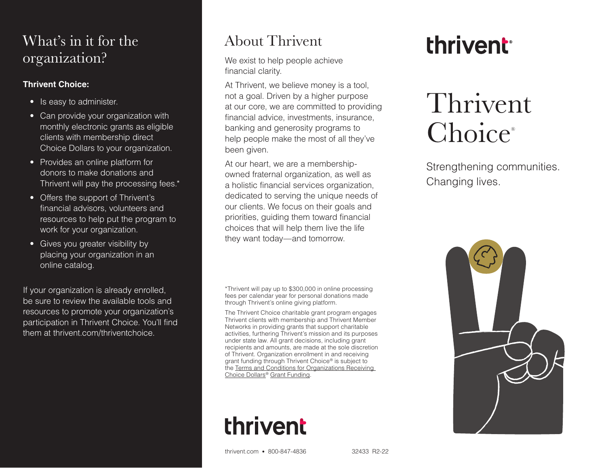### What's in it for the organization?

#### **Thrivent Choice:**

- Is easy to administer.
- Can provide your organization with monthly electronic grants as eligible clients with membership direct Choice Dollars to your organization.
- Provides an online platform for donors to make donations and Thrivent will pay the processing fees.\*
- Offers the support of Thrivent's financial advisors, volunteers and resources to help put the program to work for your organization.
- Gives you greater visibility by placing your organization in an online catalog.

If your organization is already enrolled, be sure to review the available tools and resources to promote your organization's participation in Thrivent Choice. You'll find them at thrivent.com/thriventchoice.

### About Thrivent

We exist to help people achieve financial clarity.

At Thrivent, we believe money is a tool, not a goal. Driven by a higher purpose at our core, we are committed to providing financial advice, investments, insurance, banking and generosity programs to help people make the most of all they've been given.

At our heart, we are a membershipowned fraternal organization, as well as a holistic financial services organization, dedicated to serving the unique needs of our clients. We focus on their goals and priorities, guiding them toward financial choices that will help them live the life they want today—and tomorrow.

\*Thrivent will pay up to \$300,000 in online processing fees per calendar year for personal donations made through Thrivent's online giving platform.

The Thrivent Choice charitable grant program engages Thrivent clients with membership and Thrivent Member Networks in providing grants that support charitable activities, furthering Thrivent's mission and its purposes under state law. All grant decisions, including grant recipients and amounts, are made at the sole discretion of Thrivent. Organization enrollment in and receiving grant funding through Thrivent Choice® is subject to the [Terms and Conditions for Organizations Receiving](https://www.thrivent.com/making-a-difference/files/28339C.pdf)  [Choice Dollars®](https://www.thrivent.com/making-a-difference/files/28339C.pdf) Grant Funding.

## thrivent

thrivent

# Thrivent Choice®

Strengthening communities. Changing lives.



thrivent.com • 800-847-4836 32433 R2-22